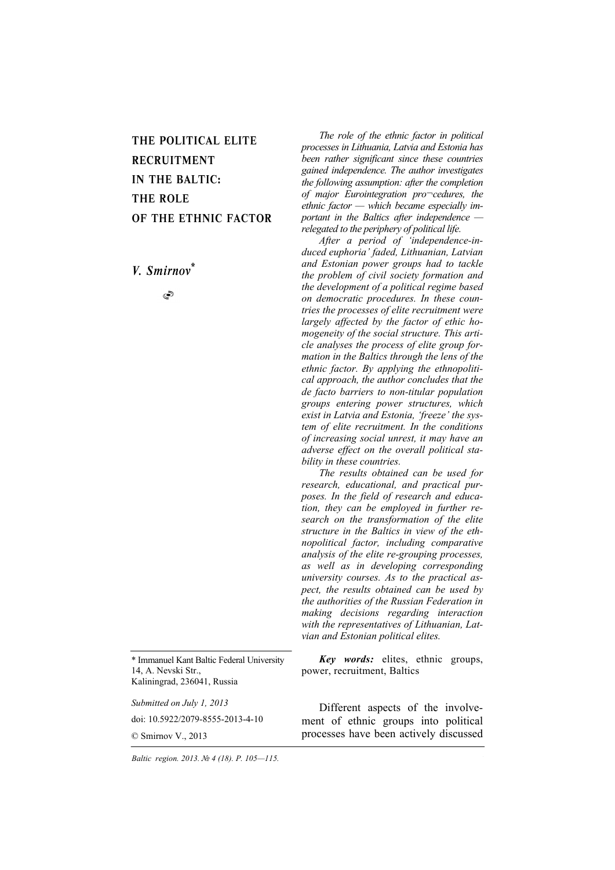# THE POLITICAL ELITE RECRUITMENT IN THE BALTIC: THE ROLE OF THE ETHNIC FACTOR

*V. Smirnov\**

 $\circledcirc$ 

\* Immanuel Kant Baltic Federal University 14, A. Nevski Str., Kaliningrad, 236041, Russia

*Submitted on July 1, 2013* 

doi: 10.5922/2079-8555-2013-4-10

© Smirnov V., 2013

*The role of the ethnic factor in political processes in Lithuania, Latvia and Estonia has been rather significant since these countries gained independence. The author investigates the following assumption: after the completion of major Eurointegration pro¬cedures, the ethnic factor — which became especially important in the Baltics after independence relegated to the periphery of political life.* 

*After a period of 'independence-induced euphoria' faded, Lithuanian, Latvian and Estonian power groups had to tackle the problem of civil society formation and the development of a political regime based on democratic procedures. In these countries the processes of elite recruitment were largely affected by the factor of ethic homogeneity of the social structure. This article analyses the process of elite group formation in the Baltics through the lens of the ethnic factor. By applying the ethnopolitical approach, the author concludes that the de facto barriers to non-titular population groups entering power structures, which exist in Latvia and Estonia, 'freeze' the system of elite recruitment. In the conditions of increasing social unrest, it may have an adverse effect on the overall political stability in these countries.* 

*The results obtained can be used for research, educational, and practical purposes. In the field of research and education, they can be employed in further research on the transformation of the elite structure in the Baltics in view of the ethnopolitical factor, including comparative analysis of the elite re-grouping processes, as well as in developing corresponding university courses. As to the practical aspect, the results obtained can be used by the authorities of the Russian Federation in making decisions regarding interaction with the representatives of Lithuanian, Latvian and Estonian political elites.* 

*Key words:* elites, ethnic groups, power, recruitment, Baltics

Different aspects of the involvement of ethnic groups into political processes have been actively discussed

*Baltic region. 2013. № 4 (18). P. 105—115.*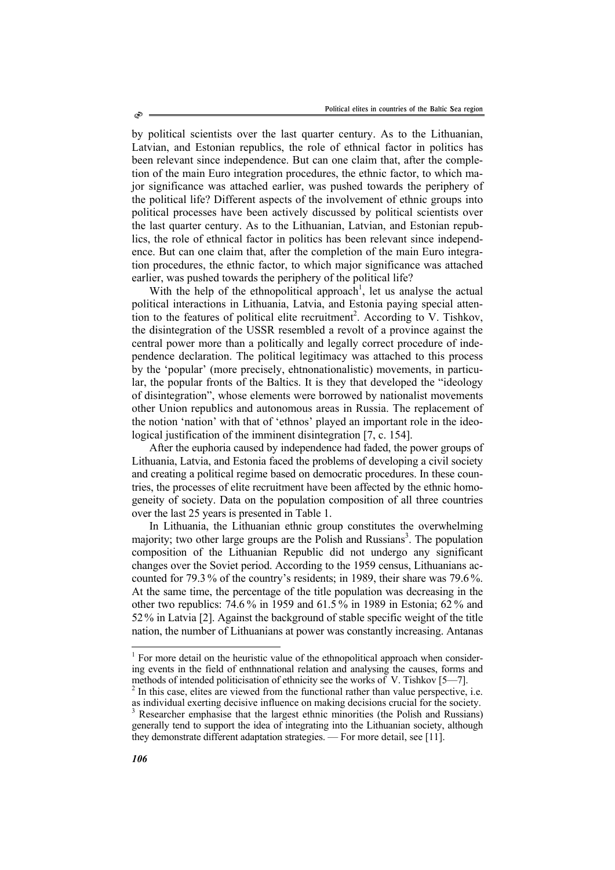by political scientists over the last quarter century. As to the Lithuanian, Latvian, and Estonian republics, the role of ethnical factor in politics has been relevant since independence. But can one claim that, after the completion of the main Euro integration procedures, the ethnic factor, to which major significance was attached earlier, was pushed towards the periphery of the political life? Different aspects of the involvement of ethnic groups into political processes have been actively discussed by political scientists over the last quarter century. As to the Lithuanian, Latvian, and Estonian republics, the role of ethnical factor in politics has been relevant since independence. But can one claim that, after the completion of the main Euro integration procedures, the ethnic factor, to which major significance was attached earlier, was pushed towards the periphery of the political life?

With the help of the ethnopolitical approach<sup>1</sup>, let us analyse the actual political interactions in Lithuania, Latvia, and Estonia paying special attention to the features of political elite recruitment<sup>2</sup>. According to V. Tishkov, the disintegration of the USSR resembled a revolt of a province against the central power more than a politically and legally correct procedure of independence declaration. The political legitimacy was attached to this process by the 'popular' (more precisely, ehtnonationalistic) movements, in particular, the popular fronts of the Baltics. It is they that developed the "ideology of disintegration", whose elements were borrowed by nationalist movements other Union republics and autonomous areas in Russia. The replacement of the notion 'nation' with that of 'ethnos' played an important role in the ideological justification of the imminent disintegration [7, с. 154].

After the euphoria caused by independence had faded, the power groups of Lithuania, Latvia, and Estonia faced the problems of developing a civil society and creating a political regime based on democratic procedures. In these countries, the processes of elite recruitment have been affected by the ethnic homogeneity of society. Data on the population composition of all three countries over the last 25 years is presented in Table 1.

In Lithuania, the Lithuanian ethnic group constitutes the overwhelming majority; two other large groups are the Polish and Russians<sup>3</sup>. The population composition of the Lithuanian Republic did not undergo any significant changes over the Soviet period. According to the 1959 census, Lithuanians accounted for 79.3 % of the country's residents; in 1989, their share was 79.6 %. At the same time, the percentage of the title population was decreasing in the other two republics: 74.6 % in 1959 and 61.5 % in 1989 in Estonia; 62 % and 52% in Latvia [2]. Against the background of stable specific weight of the title nation, the number of Lithuanians at power was constantly increasing. Antanas

<sup>&</sup>lt;sup>1</sup> For more detail on the heuristic value of the ethnopolitical approach when considering events in the field of enthnnational relation and analysing the causes, forms and methods of intended politicisation of ethnicity see the works of V. Tishkov [5—7].  $^{2}$  In this case, elites are viewed from the functional rather than value perspective, i.e.

as individual exerting decisive influence on making decisions crucial for the society.

<sup>3</sup> Researcher emphasise that the largest ethnic minorities (the Polish and Russians) generally tend to support the idea of integrating into the Lithuanian society, although they demonstrate different adaptation strategies. — For more detail, see [11].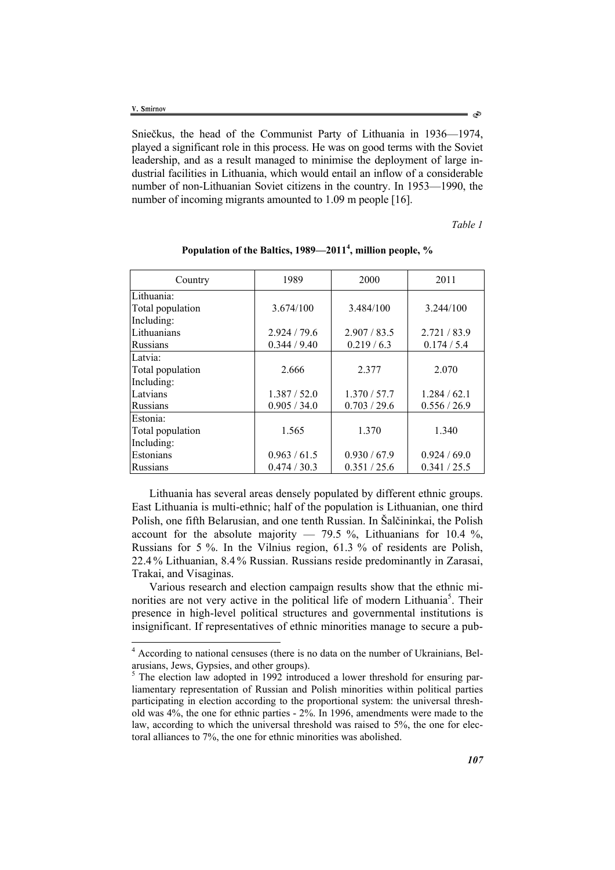Sniečkus, the head of the Communist Party of Lithuania in 1936—1974, played a significant role in this process. He was on good terms with the Soviet leadership, and as a result managed to minimise the deployment of large industrial facilities in Lithuania, which would entail an inflow of a considerable number of non-Lithuanian Soviet citizens in the country. In 1953—1990, the number of incoming migrants amounted to 1.09 m people [16].

*Table 1* 

| Country          | 1989         | 2000         | 2011         |  |  |
|------------------|--------------|--------------|--------------|--|--|
| Lithuania:       |              |              |              |  |  |
| Total population | 3.674/100    | 3.484/100    | 3.244/100    |  |  |
| Including:       |              |              |              |  |  |
| Lithuanians      | 2.924 / 79.6 | 2.907 / 83.5 | 2.721 / 83.9 |  |  |
| Russians         | 0.344 / 9.40 | 0.219/6.3    | 0.174 / 5.4  |  |  |
| Latvia:          |              |              |              |  |  |
| Total population | 2.666        | 2.377        | 2.070        |  |  |
| Including:       |              |              |              |  |  |
| Latvians         | 1.387 / 52.0 | 1.370 / 57.7 | 1.284 / 62.1 |  |  |
| <b>Russians</b>  | 0.905 / 34.0 | 0.703 / 29.6 | 0.556 / 26.9 |  |  |
| Estonia:         |              |              |              |  |  |
| Total population | 1.565        | 1.370        | 1.340        |  |  |
| Including:       |              |              |              |  |  |
| Estonians        | 0.963 / 61.5 | 0.930 / 67.9 | 0.924 / 69.0 |  |  |
| Russians         | 0.474/30.3   | 0.351 / 25.6 | 0.341 / 25.5 |  |  |

## **Population of the Baltics, 1989—2011<sup>4</sup> , million people, %**

Lithuania has several areas densely populated by different ethnic groups. East Lithuania is multi-ethnic; half of the population is Lithuanian, one third Polish, one fifth Belarusian, and one tenth Russian. In Šalčininkai, the Polish account for the absolute majority — 79.5 %, Lithuanians for 10.4 %, Russians for 5 %. In the Vilnius region, 61.3 % of residents are Polish, 22.4 % Lithuanian, 8.4 % Russian. Russians reside predominantly in Zarasai, Trakai, and Visaginas.

Various research and election campaign results show that the ethnic minorities are not very active in the political life of modern Lithuania<sup>5</sup>. Their presence in high-level political structures and governmental institutions is insignificant. If representatives of ethnic minorities manage to secure a pub-

 4 According to national censuses (there is no data on the number of Ukrainians, Belarusians, Jews, Gypsies, and other groups).

<sup>&</sup>lt;sup>5</sup> The election law adopted in 1992 introduced a lower threshold for ensuring parliamentary representation of Russian and Polish minorities within political parties participating in election according to the proportional system: the universal threshold was 4%, the one for ethnic parties - 2%. In 1996, amendments were made to the law, according to which the universal threshold was raised to 5%, the one for electoral alliances to 7%, the one for ethnic minorities was abolished.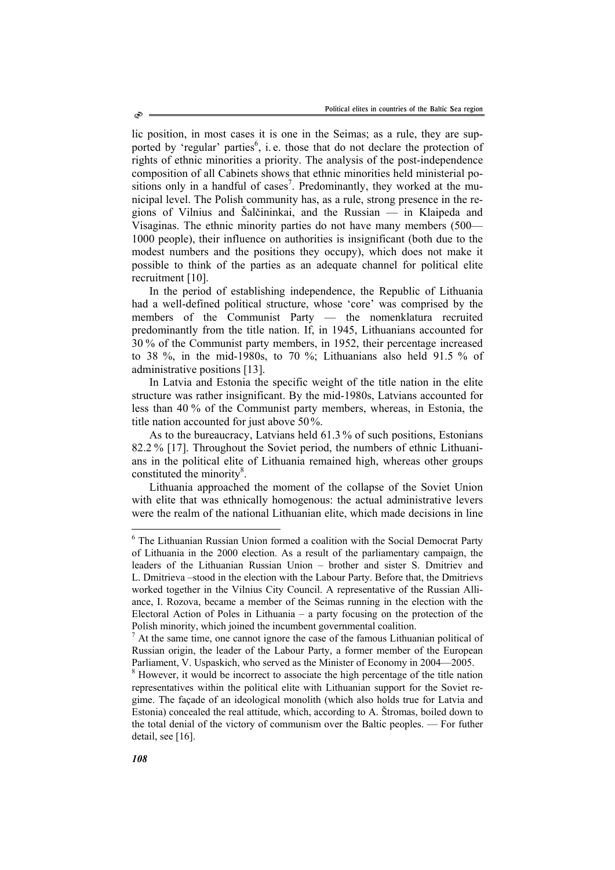lic position, in most cases it is one in the Seimas; as a rule, they are supported by 'regular' parties<sup>6</sup>, i.e. those that do not declare the protection of rights of ethnic minorities a priority. The analysis of the post-independence composition of all Cabinets shows that ethnic minorities held ministerial positions only in a handful of cases<sup>7</sup>. Predominantly, they worked at the municipal level. The Polish community has, as a rule, strong presence in the regions of Vilnius and Šalčininkai, and the Russian — in Klaipeda and Visaginas. The ethnic minority parties do not have many members (500— 1000 people), their influence on authorities is insignificant (both due to the modest numbers and the positions they occupy), which does not make it possible to think of the parties as an adequate channel for political elite recruitment [10].

In the period of establishing independence, the Republic of Lithuania had a well-defined political structure, whose 'core' was comprised by the members of the Communist Party — the nomenklatura recruited predominantly from the title nation. If, in 1945, Lithuanians accounted for 30 % of the Communist party members, in 1952, their percentage increased to 38 %, in the mid-1980s, to 70 %; Lithuanians also held 91.5 % of administrative positions [13].

In Latvia and Estonia the specific weight of the title nation in the elite structure was rather insignificant. By the mid-1980s, Latvians accounted for less than 40 % of the Communist party members, whereas, in Estonia, the title nation accounted for just above 50%.

As to the bureaucracy, Latvians held 61.3 % of such positions, Estonians 82.2 % [17]. Throughout the Soviet period, the numbers of ethnic Lithuanians in the political elite of Lithuania remained high, whereas other groups constituted the minority<sup>8</sup>.

Lithuania approached the moment of the collapse of the Soviet Union with elite that was ethnically homogenous: the actual administrative levers were the realm of the national Lithuanian elite, which made decisions in line

 $\overline{a}$ 

<sup>&</sup>lt;sup>6</sup> The Lithuanian Russian Union formed a coalition with the Social Democrat Party of Lithuania in the 2000 election. As a result of the parliamentary campaign, the leaders of the Lithuanian Russian Union – brother and sister S. Dmitriev and L. Dmitrieva –stood in the election with the Labour Party. Before that, the Dmitrievs worked together in the Vilnius City Council. A representative of the Russian Alliance, I. Rozova, became a member of the Seimas running in the election with the Electoral Action of Poles in Lithuania – a party focusing on the protection of the Polish minority, which joined the incumbent governmental coalition.

 $<sup>7</sup>$  At the same time, one cannot ignore the case of the famous Lithuanian political of</sup> Russian origin, the leader of the Labour Party, a former member of the European Parliament, V. Uspaskich, who served as the Minister of Economy in 2004—2005.

<sup>&</sup>lt;sup>8</sup> However, it would be incorrect to associate the high percentage of the title nation representatives within the political elite with Lithuanian support for the Soviet regime. The façade of an ideological monolith (which also holds true for Latvia and Estonia) concealed the real attitude, which, according to A. Štromas, boiled down to the total denial of the victory of communism over the Baltic peoples. — For futher detail, see [16].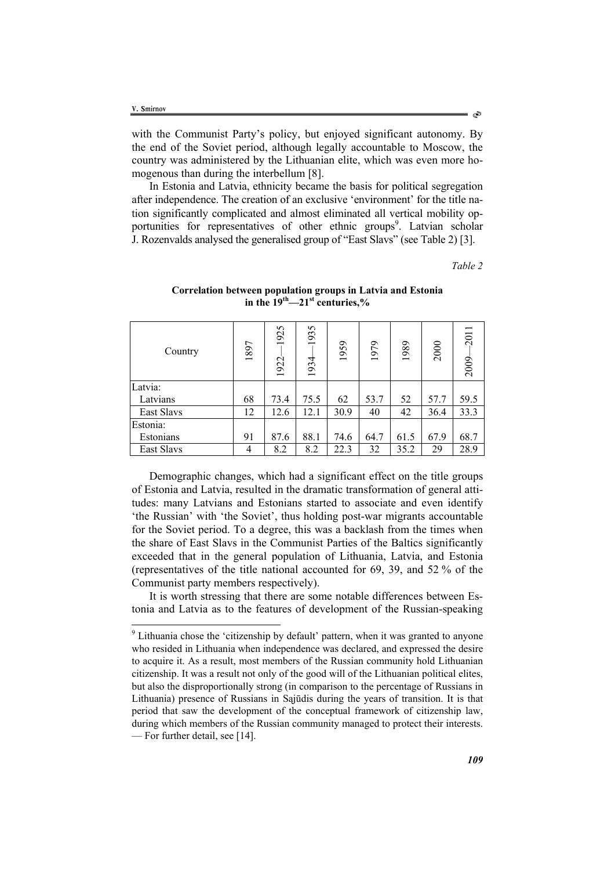$\overline{a}$ 

with the Communist Party's policy, but enjoyed significant autonomy. By the end of the Soviet period, although legally accountable to Moscow, the country was administered by the Lithuanian elite, which was even more homogenous than during the interbellum [8].

In Estonia and Latvia, ethnicity became the basis for political segregation after independence. The creation of an exclusive 'environment' for the title nation significantly complicated and almost eliminated all vertical mobility opportunities for representatives of other ethnic groups<sup>9</sup>. Latvian scholar J. Rozenvalds analysed the generalised group of "East Slavs" (see Table 2) [3].

*Table 2* 

| Country    | 1897 | 1925<br>1922 | 1935<br>1934 | 1959 | 1979 | 1989 | 2000 | 2011<br>2009 |
|------------|------|--------------|--------------|------|------|------|------|--------------|
| Latvia:    |      |              |              |      |      |      |      |              |
| Latvians   | 68   | 73.4         | 75.5         | 62   | 53.7 | 52   | 57.7 | 59.5         |
| East Slavs | 12   | 12.6         | 12.1         | 30.9 | 40   | 42   | 36.4 | 33.3         |
| Estonia:   |      |              |              |      |      |      |      |              |
| Estonians  | 91   | 87.6         | 88.1         | 74.6 | 64.7 | 61.5 | 67.9 | 68.7         |
| East Slavs | 4    | 8.2          | 8.2          | 22.3 | 32   | 35.2 | 29   | 28.9         |

## **Correlation between population groups in Latvia and Estonia in the 19th—21st centuries,%**

Demographic changes, which had a significant effect on the title groups of Estonia and Latvia, resulted in the dramatic transformation of general attitudes: many Latvians and Estonians started to associate and even identify 'the Russian' with 'the Soviet', thus holding post-war migrants accountable for the Soviet period. To a degree, this was a backlash from the times when the share of East Slavs in the Communist Parties of the Baltics significantly exceeded that in the general population of Lithuania, Latvia, and Estonia (representatives of the title national accounted for 69, 39, and 52 % of the Communist party members respectively).

It is worth stressing that there are some notable differences between Estonia and Latvia as to the features of development of the Russian-speaking

<sup>&</sup>lt;sup>9</sup> Lithuania chose the 'citizenship by default' pattern, when it was granted to anyone who resided in Lithuania when independence was declared, and expressed the desire to acquire it. As a result, most members of the Russian community hold Lithuanian citizenship. It was a result not only of the good will of the Lithuanian political elites, but also the disproportionally strong (in comparison to the percentage of Russians in Lithuania) presence of Russians in Sąjūdis during the years of transition. It is that period that saw the development of the conceptual framework of citizenship law, during which members of the Russian community managed to protect their interests. — For further detail, see [14].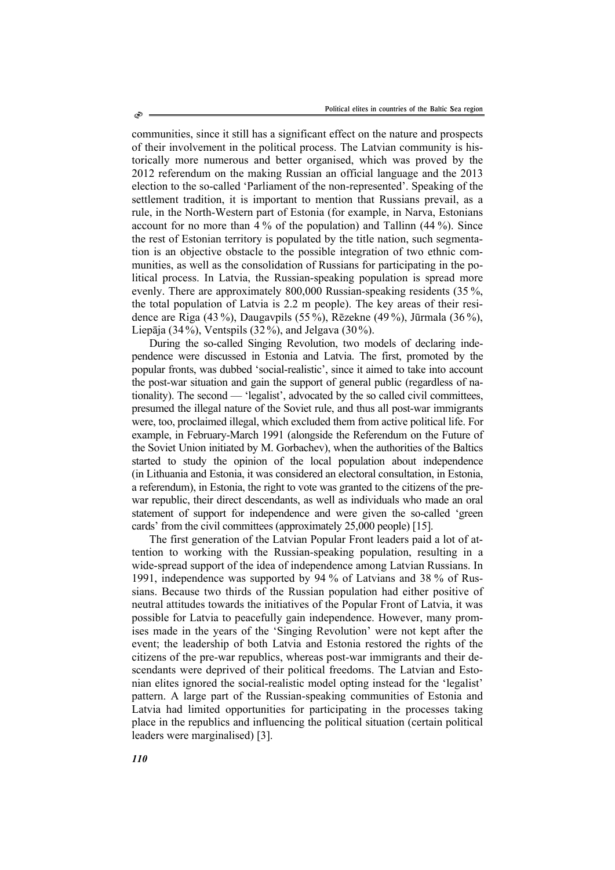communities, since it still has a significant effect on the nature and prospects of their involvement in the political process. The Latvian community is historically more numerous and better organised, which was proved by the 2012 referendum on the making Russian an official language and the 2013 election to the so-called 'Parliament of the non-represented'. Speaking of the settlement tradition, it is important to mention that Russians prevail, as a rule, in the North-Western part of Estonia (for example, in Narva, Estonians account for no more than 4 % of the population) and Tallinn (44 %). Since the rest of Estonian territory is populated by the title nation, such segmentation is an objective obstacle to the possible integration of two ethnic communities, as well as the consolidation of Russians for participating in the political process. In Latvia, the Russian-speaking population is spread more evenly. There are approximately 800,000 Russian-speaking residents (35 %, the total population of Latvia is 2.2 m people). The key areas of their residence are Riga (43 %), Daugavpils (55 %), Rēzekne (49 %), Jūrmala (36 %), Liepāja (34%), Ventspils (32%), and Jelgava (30%).

During the so-called Singing Revolution, two models of declaring independence were discussed in Estonia and Latvia. The first, promoted by the popular fronts, was dubbed 'social-realistic', since it aimed to take into account the post-war situation and gain the support of general public (regardless of nationality). The second — 'legalist', advocated by the so called civil committees, presumed the illegal nature of the Soviet rule, and thus all post-war immigrants were, too, proclaimed illegal, which excluded them from active political life. For example, in February-March 1991 (alongside the Referendum on the Future of the Soviet Union initiated by M. Gorbachev), when the authorities of the Baltics started to study the opinion of the local population about independence (in Lithuania and Estonia, it was considered an electoral consultation, in Estonia, a referendum), in Estonia, the right to vote was granted to the citizens of the prewar republic, their direct descendants, as well as individuals who made an oral statement of support for independence and were given the so-called 'green cards' from the civil committees (approximately 25,000 people) [15].

The first generation of the Latvian Popular Front leaders paid a lot of attention to working with the Russian-speaking population, resulting in a wide-spread support of the idea of independence among Latvian Russians. In 1991, independence was supported by 94 % of Latvians and 38 % of Russians. Because two thirds of the Russian population had either positive of neutral attitudes towards the initiatives of the Popular Front of Latvia, it was possible for Latvia to peacefully gain independence. However, many promises made in the years of the 'Singing Revolution' were not kept after the event; the leadership of both Latvia and Estonia restored the rights of the citizens of the pre-war republics, whereas post-war immigrants and their descendants were deprived of their political freedoms. The Latvian and Estonian elites ignored the social-realistic model opting instead for the 'legalist' pattern. A large part of the Russian-speaking communities of Estonia and Latvia had limited opportunities for participating in the processes taking place in the republics and influencing the political situation (certain political leaders were marginalised) [3].

*110*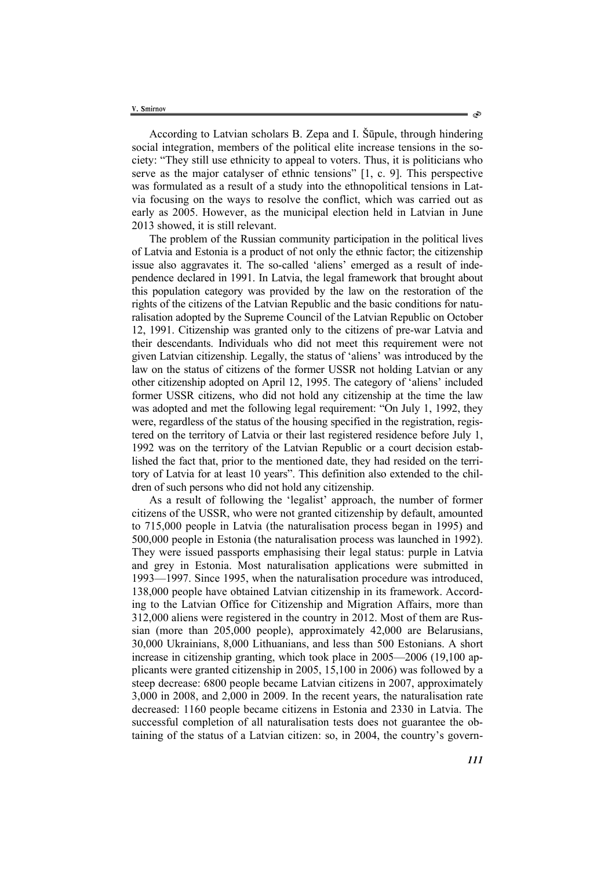According to Latvian scholars B. Zepa and I. Šūpule, through hindering social integration, members of the political elite increase tensions in the society: "They still use ethnicity to appeal to voters. Thus, it is politicians who serve as the major catalyser of ethnic tensions" [1, c. 9]. This perspective was formulated as a result of a study into the ethnopolitical tensions in Latvia focusing on the ways to resolve the conflict, which was carried out as early as 2005. However, as the municipal election held in Latvian in June 2013 showed, it is still relevant.

The problem of the Russian community participation in the political lives of Latvia and Estonia is a product of not only the ethnic factor; the citizenship issue also aggravates it. The so-called 'aliens' emerged as a result of independence declared in 1991. In Latvia, the legal framework that brought about this population category was provided by the law on the restoration of the rights of the citizens of the Latvian Republic and the basic conditions for naturalisation adopted by the Supreme Council of the Latvian Republic on October 12, 1991. Citizenship was granted only to the citizens of pre-war Latvia and their descendants. Individuals who did not meet this requirement were not given Latvian citizenship. Legally, the status of 'aliens' was introduced by the law on the status of citizens of the former USSR not holding Latvian or any other citizenship adopted on April 12, 1995. The category of 'aliens' included former USSR citizens, who did not hold any citizenship at the time the law was adopted and met the following legal requirement: "On July 1, 1992, they were, regardless of the status of the housing specified in the registration, registered on the territory of Latvia or their last registered residence before July 1, 1992 was on the territory of the Latvian Republic or a court decision established the fact that, prior to the mentioned date, they had resided on the territory of Latvia for at least 10 years". This definition also extended to the children of such persons who did not hold any citizenship.

As a result of following the 'legalist' approach, the number of former citizens of the USSR, who were not granted citizenship by default, amounted to 715,000 people in Latvia (the naturalisation process began in 1995) and 500,000 people in Estonia (the naturalisation process was launched in 1992). They were issued passports emphasising their legal status: purple in Latvia and grey in Estonia. Most naturalisation applications were submitted in 1993—1997. Since 1995, when the naturalisation procedure was introduced, 138,000 people have obtained Latvian citizenship in its framework. According to the Latvian Office for Citizenship and Migration Affairs, more than 312,000 aliens were registered in the country in 2012. Most of them are Russian (more than 205,000 people), approximately 42,000 are Belarusians, 30,000 Ukrainians, 8,000 Lithuanians, and less than 500 Estonians. A short increase in citizenship granting, which took place in 2005—2006 (19,100 applicants were granted citizenship in 2005, 15,100 in 2006) was followed by a steep decrease: 6800 people became Latvian citizens in 2007, approximately 3,000 in 2008, and 2,000 in 2009. In the recent years, the naturalisation rate decreased: 1160 people became citizens in Estonia and 2330 in Latvia. The successful completion of all naturalisation tests does not guarantee the obtaining of the status of a Latvian citizen: so, in 2004, the country's govern-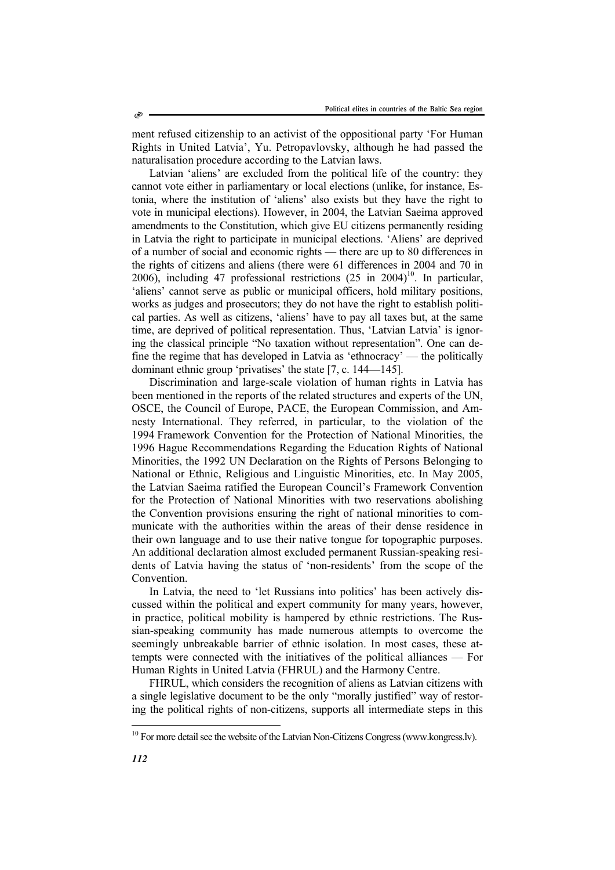ment refused citizenship to an activist of the oppositional party 'For Human Rights in United Latvia', Yu. Petropavlovsky, although he had passed the naturalisation procedure according to the Latvian laws.

Latvian 'aliens' are excluded from the political life of the country: they cannot vote either in parliamentary or local elections (unlike, for instance, Estonia, where the institution of 'aliens' also exists but they have the right to vote in municipal elections). However, in 2004, the Latvian Saeima approved amendments to the Constitution, which give EU citizens permanently residing in Latvia the right to participate in municipal elections. 'Aliens' are deprived of a number of social and economic rights — there are up to 80 differences in the rights of citizens and aliens (there were 61 differences in 2004 and 70 in 2006), including 47 professional restrictions  $(25 \text{ in } 2004)^{10}$ . In particular, 'aliens' cannot serve as public or municipal officers, hold military positions, works as judges and prosecutors; they do not have the right to establish political parties. As well as citizens, 'aliens' have to pay all taxes but, at the same time, are deprived of political representation. Thus, 'Latvian Latvia' is ignoring the classical principle "No taxation without representation". One can define the regime that has developed in Latvia as 'ethnocracy' — the politically dominant ethnic group 'privatises' the state [7, с. 144—145].

Discrimination and large-scale violation of human rights in Latvia has been mentioned in the reports of the related structures and experts of the UN, OSCE, the Council of Europe, PACE, the European Commission, and Amnesty International. They referred, in particular, to the violation of the 1994 Framework Convention for the Protection of National Minorities, the 1996 Hague Recommendations Regarding the Education Rights of National Minorities, the 1992 UN Declaration on the Rights of Persons Belonging to National or Ethnic, Religious and Linguistic Minorities, etc. In May 2005, the Latvian Saeima ratified the European Council's Framework Convention for the Protection of National Minorities with two reservations abolishing the Convention provisions ensuring the right of national minorities to communicate with the authorities within the areas of their dense residence in their own language and to use their native tongue for topographic purposes. An additional declaration almost excluded permanent Russian-speaking residents of Latvia having the status of 'non-residents' from the scope of the Convention.

In Latvia, the need to 'let Russians into politics' has been actively discussed within the political and expert community for many years, however, in practice, political mobility is hampered by ethnic restrictions. The Russian-speaking community has made numerous attempts to overcome the seemingly unbreakable barrier of ethnic isolation. In most cases, these attempts were connected with the initiatives of the political alliances — For Human Rights in United Latvia (FHRUL) and the Harmony Centre.

FHRUL, which considers the recognition of aliens as Latvian citizens with a single legislative document to be the only "morally justified" way of restoring the political rights of non-citizens, supports all intermediate steps in this

l

 $10$  For more detail see the website of the Latvian Non-Citizens Congress (www.kongress.lv).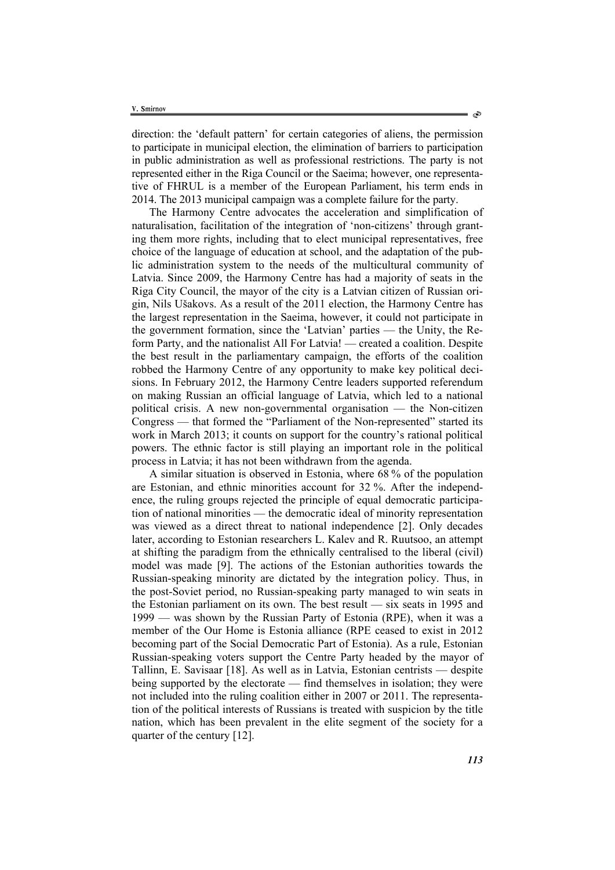direction: the 'default pattern' for certain categories of aliens, the permission to participate in municipal election, the elimination of barriers to participation in public administration as well as professional restrictions. The party is not represented either in the Riga Council or the Saeima; however, one representative of FHRUL is a member of the European Parliament, his term ends in 2014. The 2013 municipal campaign was a complete failure for the party.

The Harmony Centre advocates the acceleration and simplification of naturalisation, facilitation of the integration of 'non-citizens' through granting them more rights, including that to elect municipal representatives, free choice of the language of education at school, and the adaptation of the public administration system to the needs of the multicultural community of Latvia. Since 2009, the Harmony Centre has had a majority of seats in the Riga City Council, the mayor of the city is a Latvian citizen of Russian origin, Nils Ušakovs. As a result of the 2011 election, the Harmony Centre has the largest representation in the Saeima, however, it could not participate in the government formation, since the 'Latvian' parties — the Unity, the Reform Party, and the nationalist All For Latvia! — created a coalition. Despite the best result in the parliamentary campaign, the efforts of the coalition robbed the Harmony Centre of any opportunity to make key political decisions. In February 2012, the Harmony Centre leaders supported referendum on making Russian an official language of Latvia, which led to a national political crisis. A new non-governmental organisation — the Non-citizen Congress — that formed the "Parliament of the Non-represented" started its work in March 2013; it counts on support for the country's rational political powers. The ethnic factor is still playing an important role in the political process in Latvia; it has not been withdrawn from the agenda.

A similar situation is observed in Estonia, where 68 % of the population are Estonian, and ethnic minorities account for 32 %. After the independence, the ruling groups rejected the principle of equal democratic participation of national minorities — the democratic ideal of minority representation was viewed as a direct threat to national independence [2]. Only decades later, according to Estonian researchers L. Kalev and R. Ruutsoo, an attempt at shifting the paradigm from the ethnically centralised to the liberal (civil) model was made [9]. The actions of the Estonian authorities towards the Russian-speaking minority are dictated by the integration policy. Thus, in the post-Soviet period, no Russian-speaking party managed to win seats in the Estonian parliament on its own. The best result — six seats in 1995 and 1999 — was shown by the Russian Party of Estonia (RPE), when it was a member of the Our Home is Estonia alliance (RPE ceased to exist in 2012 becoming part of the Social Democratic Part of Estonia). As a rule, Estonian Russian-speaking voters support the Centre Party headed by the mayor of Tallinn, E. Savisaar [18]. As well as in Latvia, Estonian centrists — despite being supported by the electorate — find themselves in isolation; they were not included into the ruling coalition either in 2007 or 2011. The representation of the political interests of Russians is treated with suspicion by the title nation, which has been prevalent in the elite segment of the society for a quarter of the century [12].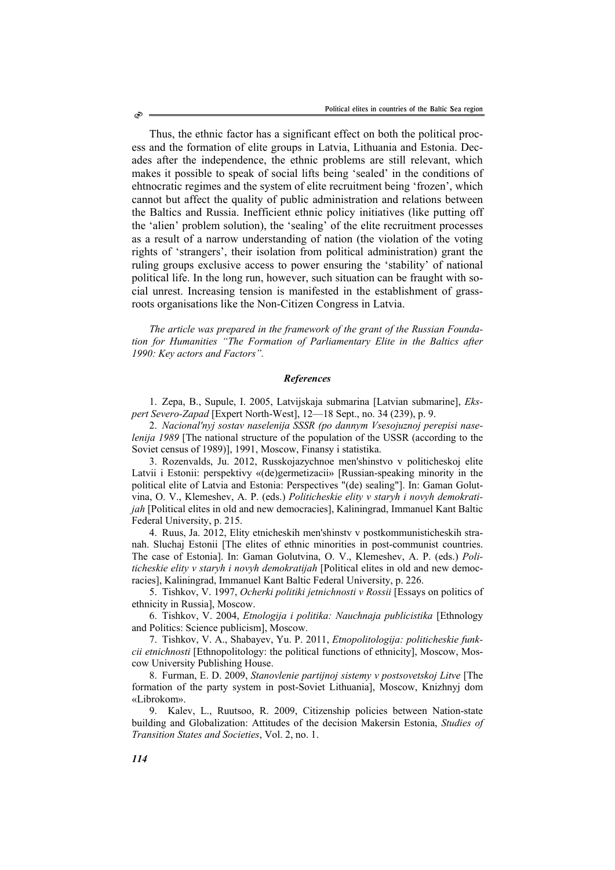Thus, the ethnic factor has a significant effect on both the political process and the formation of elite groups in Latvia, Lithuania and Estonia. Decades after the independence, the ethnic problems are still relevant, which makes it possible to speak of social lifts being 'sealed' in the conditions of ehtnocratic regimes and the system of elite recruitment being 'frozen', which cannot but affect the quality of public administration and relations between the Baltics and Russia. Inefficient ethnic policy initiatives (like putting off the 'alien' problem solution), the 'sealing' of the elite recruitment processes as a result of a narrow understanding of nation (the violation of the voting rights of 'strangers', their isolation from political administration) grant the ruling groups exclusive access to power ensuring the 'stability' of national political life. In the long run, however, such situation can be fraught with social unrest. Increasing tension is manifested in the establishment of grassroots organisations like the Non-Citizen Congress in Latvia.

*The article was prepared in the framework of the grant of the Russian Foundation for Humanities "The Formation of Parliamentary Elite in the Baltics after 1990: Key actors and Factors".* 

#### *References*

1. Zepa, B., Supule, I. 2005, Latvijskaja submarina [Latvian submarine], *Ekspert Severo-Zapad* [Expert North-West], 12—18 Sept., no. 34 (239), p. 9.

2. *Nacional'nyj sostav naselenija SSSR (po dannym Vsesojuznoj perepisi naselenija 1989* [The national structure of the population of the USSR (according to the Soviet census of 1989)], 1991, Moscow, Finansy i statistika.

3. Rozenvalds, Ju. 2012, Russkojazychnoe men'shinstvo v politicheskoj elite Latvii i Estonii: perspektivy «(de)germetizacii» [Russian-speaking minority in the political elite of Latvia and Estonia: Perspectives "(de) sealing"]. In: Gaman Golutvina, O. V., Klemeshev, A. P. (eds.) *Politicheskie elity v staryh i novyh demokratijah* [Political elites in old and new democracies], Kaliningrad, Immanuel Kant Baltic Federal University, p. 215.

4. Ruus, Ja. 2012, Elity etnicheskih men'shinstv v postkommunisticheskih stranah. Sluchaj Estonii [The elites of ethnic minorities in post-communist countries. The case of Estonia]. In: Gaman Golutvina, O. V., Klemeshev, A. P. (eds.) *Politicheskie elity v staryh i novyh demokratijah* [Political elites in old and new democracies], Kaliningrad, Immanuel Kant Baltic Federal University, p. 226.

5. Tishkov, V. 1997, *Ocherki politiki jetnichnosti v Rossii* [Essays on politics of ethnicity in Russia], Moscow.

6. Tishkov, V. 2004, *Etnologija i politika: Nauchnaja publicistika* [Ethnology and Politics: Science publicism], Moscow.

7. Tishkov, V. A., Shabayev, Yu. P. 2011, *Etnopolitologija: politicheskie funkcii etnichnosti* [Ethnopolitology: the political functions of ethnicity], Moscow, Moscow University Publishing House.

8. Furman, E. D. 2009, *Stanovlenie partijnoj sistemy v postsovetskoj Litve* [The formation of the party system in post-Soviet Lithuania], Moscow, Knizhnyj dom «Librokom».

9. Kalev, L., Ruutsoo, R. 2009, Citizenship policies between Nation-state building and Globalization: Attitudes of the decision Makersin Estonia, *Studies of Transition States and Societies*, Vol. 2, no. 1.